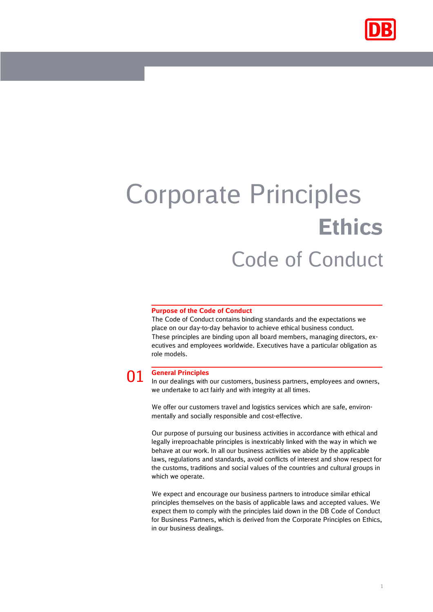

## Corporate Principles **Ethics** Code of Conduct

## **Purpose of the Code of Conduct**

The Code of Conduct contains binding standards and the expectations we place on our day-to-day behavior to achieve ethical business conduct. These principles are binding upon all board members, managing directors, executives and employees worldwide. Executives have a particular obligation as role models.

01 **General Principles** In our dealings with our customers, business partners, employees and owners, we undertake to act fairly and with integrity at all times.

We offer our customers travel and logistics services which are safe, environmentally and socially responsible and cost-effective.

Our purpose of pursuing our business activities in accordance with ethical and legally irreproachable principles is inextricably linked with the way in which we behave at our work. In all our business activities we abide by the applicable laws, regulations and standards, avoid conflicts of interest and show respect for the customs, traditions and social values of the countries and cultural groups in which we operate.

We expect and encourage our business partners to introduce similar ethical principles themselves on the basis of applicable laws and accepted values. We expect them to comply with the principles laid down in the DB Code of Conduct for Business Partners, which is derived from the Corporate Principles on Ethics, in our business dealings.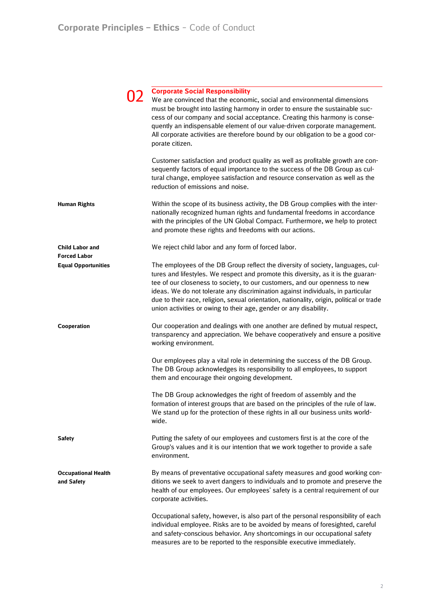|                                               | <b>Corporate Social Responsibility</b><br>We are convinced that the economic, social and environmental dimensions<br>must be brought into lasting harmony in order to ensure the sustainable suc-<br>cess of our company and social acceptance. Creating this harmony is conse-<br>quently an indispensable element of our value-driven corporate management.<br>All corporate activities are therefore bound by our obligation to be a good cor-<br>porate citizen.                                   |
|-----------------------------------------------|--------------------------------------------------------------------------------------------------------------------------------------------------------------------------------------------------------------------------------------------------------------------------------------------------------------------------------------------------------------------------------------------------------------------------------------------------------------------------------------------------------|
|                                               | Customer satisfaction and product quality as well as profitable growth are con-<br>sequently factors of equal importance to the success of the DB Group as cul-<br>tural change, employee satisfaction and resource conservation as well as the<br>reduction of emissions and noise.                                                                                                                                                                                                                   |
| <b>Human Rights</b>                           | Within the scope of its business activity, the DB Group complies with the inter-<br>nationally recognized human rights and fundamental freedoms in accordance<br>with the principles of the UN Global Compact. Furthermore, we help to protect<br>and promote these rights and freedoms with our actions.                                                                                                                                                                                              |
| <b>Child Labor and</b><br><b>Forced Labor</b> | We reject child labor and any form of forced labor.                                                                                                                                                                                                                                                                                                                                                                                                                                                    |
| <b>Equal Opportunities</b>                    | The employees of the DB Group reflect the diversity of society, languages, cul-<br>tures and lifestyles. We respect and promote this diversity, as it is the guaran-<br>tee of our closeness to society, to our customers, and our openness to new<br>ideas. We do not tolerate any discrimination against individuals, in particular<br>due to their race, religion, sexual orientation, nationality, origin, political or trade<br>union activities or owing to their age, gender or any disability. |
| Cooperation                                   | Our cooperation and dealings with one another are defined by mutual respect,<br>transparency and appreciation. We behave cooperatively and ensure a positive<br>working environment.                                                                                                                                                                                                                                                                                                                   |
|                                               | Our employees play a vital role in determining the success of the DB Group.<br>The DB Group acknowledges its responsibility to all employees, to support<br>them and encourage their ongoing development.                                                                                                                                                                                                                                                                                              |
|                                               | The DB Group acknowledges the right of freedom of assembly and the<br>formation of interest groups that are based on the principles of the rule of law.<br>We stand up for the protection of these rights in all our business units world-<br>wide.                                                                                                                                                                                                                                                    |
| <b>Safety</b>                                 | Putting the safety of our employees and customers first is at the core of the<br>Group's values and it is our intention that we work together to provide a safe<br>environment.                                                                                                                                                                                                                                                                                                                        |
| <b>Occupational Health</b><br>and Safety      | By means of preventative occupational safety measures and good working con-<br>ditions we seek to avert dangers to individuals and to promote and preserve the<br>health of our employees. Our employees' safety is a central requirement of our<br>corporate activities.                                                                                                                                                                                                                              |
|                                               | Occupational safety, however, is also part of the personal responsibility of each<br>individual employee. Risks are to be avoided by means of foresighted, careful<br>and safety-conscious behavior. Any shortcomings in our occupational safety<br>measures are to be reported to the responsible executive immediately.                                                                                                                                                                              |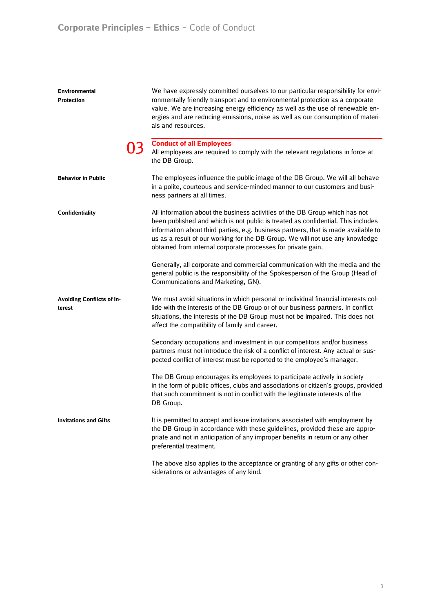| <b>Environmental</b><br><b>Protection</b>  | We have expressly committed ourselves to our particular responsibility for envi-<br>ronmentally friendly transport and to environmental protection as a corporate<br>value. We are increasing energy efficiency as well as the use of renewable en-<br>ergies and are reducing emissions, noise as well as our consumption of materi-<br>als and resources.                                            |
|--------------------------------------------|--------------------------------------------------------------------------------------------------------------------------------------------------------------------------------------------------------------------------------------------------------------------------------------------------------------------------------------------------------------------------------------------------------|
|                                            | <b>Conduct of all Employees</b><br>All employees are required to comply with the relevant regulations in force at<br>the DB Group.                                                                                                                                                                                                                                                                     |
| <b>Behavior in Public</b>                  | The employees influence the public image of the DB Group. We will all behave<br>in a polite, courteous and service-minded manner to our customers and busi-<br>ness partners at all times.                                                                                                                                                                                                             |
| Confidentiality                            | All information about the business activities of the DB Group which has not<br>been published and which is not public is treated as confidential. This includes<br>information about third parties, e.g. business partners, that is made available to<br>us as a result of our working for the DB Group. We will not use any knowledge<br>obtained from internal corporate processes for private gain. |
|                                            | Generally, all corporate and commercial communication with the media and the<br>general public is the responsibility of the Spokesperson of the Group (Head of<br>Communications and Marketing, GN).                                                                                                                                                                                                   |
| <b>Avoiding Conflicts of In-</b><br>terest | We must avoid situations in which personal or individual financial interests col-<br>lide with the interests of the DB Group or of our business partners. In conflict<br>situations, the interests of the DB Group must not be impaired. This does not<br>affect the compatibility of family and career.                                                                                               |
|                                            | Secondary occupations and investment in our competitors and/or business<br>partners must not introduce the risk of a conflict of interest. Any actual or sus-<br>pected conflict of interest must be reported to the employee's manager.                                                                                                                                                               |
|                                            | The DB Group encourages its employees to participate actively in society<br>in the form of public offices, clubs and associations or citizen's groups, provided<br>that such commitment is not in conflict with the legitimate interests of the<br>DB Group.                                                                                                                                           |
| <b>Invitations and Gifts</b>               | It is permitted to accept and issue invitations associated with employment by<br>the DB Group in accordance with these guidelines, provided these are appro-<br>priate and not in anticipation of any improper benefits in return or any other<br>preferential treatment.                                                                                                                              |
|                                            | The above also applies to the acceptance or granting of any gifts or other con-<br>siderations or advantages of any kind.                                                                                                                                                                                                                                                                              |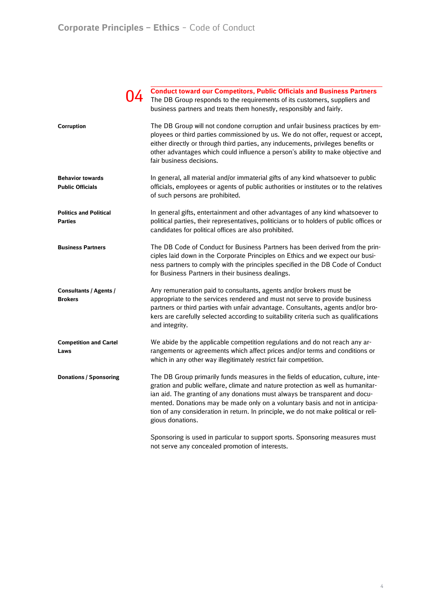|                                                    | <b>Conduct toward our Competitors, Public Officials and Business Partners</b><br>The DB Group responds to the requirements of its customers, suppliers and<br>business partners and treats them honestly, responsibly and fairly.                                                                                                                                                                                                              |
|----------------------------------------------------|------------------------------------------------------------------------------------------------------------------------------------------------------------------------------------------------------------------------------------------------------------------------------------------------------------------------------------------------------------------------------------------------------------------------------------------------|
| Corruption                                         | The DB Group will not condone corruption and unfair business practices by em-<br>ployees or third parties commissioned by us. We do not offer, request or accept,<br>either directly or through third parties, any inducements, privileges benefits or<br>other advantages which could influence a person's ability to make objective and<br>fair business decisions.                                                                          |
| <b>Behavior towards</b><br><b>Public Officials</b> | In general, all material and/or immaterial gifts of any kind whatsoever to public<br>officials, employees or agents of public authorities or institutes or to the relatives<br>of such persons are prohibited.                                                                                                                                                                                                                                 |
| <b>Politics and Political</b><br><b>Parties</b>    | In general gifts, entertainment and other advantages of any kind whatsoever to<br>political parties, their representatives, politicians or to holders of public offices or<br>candidates for political offices are also prohibited.                                                                                                                                                                                                            |
| <b>Business Partners</b>                           | The DB Code of Conduct for Business Partners has been derived from the prin-<br>ciples laid down in the Corporate Principles on Ethics and we expect our busi-<br>ness partners to comply with the principles specified in the DB Code of Conduct<br>for Business Partners in their business dealings.                                                                                                                                         |
| Consultants / Agents /<br><b>Brokers</b>           | Any remuneration paid to consultants, agents and/or brokers must be<br>appropriate to the services rendered and must not serve to provide business<br>partners or third parties with unfair advantage. Consultants, agents and/or bro-<br>kers are carefully selected according to suitability criteria such as qualifications<br>and integrity.                                                                                               |
| <b>Competition and Cartel</b><br>Laws              | We abide by the applicable competition regulations and do not reach any ar-<br>rangements or agreements which affect prices and/or terms and conditions or<br>which in any other way illegitimately restrict fair competition.                                                                                                                                                                                                                 |
| <b>Donations / Sponsoring</b>                      | The DB Group primarily funds measures in the fields of education, culture, inte-<br>gration and public welfare, climate and nature protection as well as humanitar-<br>ian aid. The granting of any donations must always be transparent and docu-<br>mented. Donations may be made only on a voluntary basis and not in anticipa-<br>tion of any consideration in return. In principle, we do not make political or reli-<br>gious donations. |
|                                                    | Sponsoring is used in particular to support sports. Sponsoring measures must                                                                                                                                                                                                                                                                                                                                                                   |

not serve any concealed promotion of interests.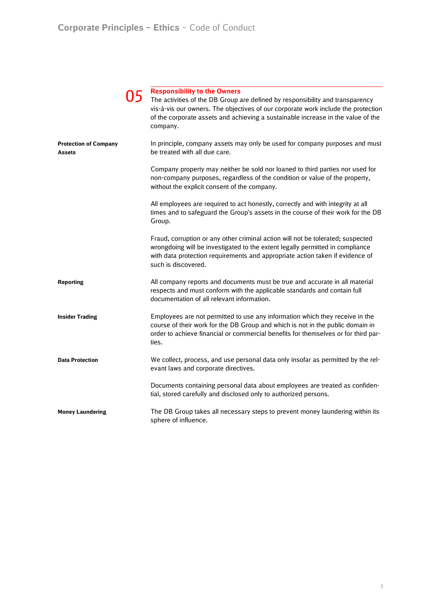|                                        | <b>Responsibility to the Owners</b><br>The activities of the DB Group are defined by responsibility and transparency<br>vis-à-vis our owners. The objectives of our corporate work include the protection<br>of the corporate assets and achieving a sustainable increase in the value of the<br>company. |
|----------------------------------------|-----------------------------------------------------------------------------------------------------------------------------------------------------------------------------------------------------------------------------------------------------------------------------------------------------------|
| <b>Protection of Company</b><br>Assets | In principle, company assets may only be used for company purposes and must<br>be treated with all due care.                                                                                                                                                                                              |
|                                        | Company property may neither be sold nor loaned to third parties nor used for<br>non-company purposes, regardless of the condition or value of the property,<br>without the explicit consent of the company.                                                                                              |
|                                        | All employees are required to act honestly, correctly and with integrity at all<br>times and to safeguard the Group's assets in the course of their work for the DB<br>Group.                                                                                                                             |
|                                        | Fraud, corruption or any other criminal action will not be tolerated; suspected<br>wrongdoing will be investigated to the extent legally permitted in compliance<br>with data protection requirements and appropriate action taken if evidence of<br>such is discovered.                                  |
| <b>Reporting</b>                       | All company reports and documents must be true and accurate in all material<br>respects and must conform with the applicable standards and contain full<br>documentation of all relevant information.                                                                                                     |
| <b>Insider Trading</b>                 | Employees are not permitted to use any information which they receive in the<br>course of their work for the DB Group and which is not in the public domain in<br>order to achieve financial or commercial benefits for themselves or for third par-<br>ties.                                             |
| <b>Data Protection</b>                 | We collect, process, and use personal data only insofar as permitted by the rel-<br>evant laws and corporate directives.                                                                                                                                                                                  |
|                                        | Documents containing personal data about employees are treated as confiden-<br>tial, stored carefully and disclosed only to authorized persons.                                                                                                                                                           |
| <b>Money Laundering</b>                | The DB Group takes all necessary steps to prevent money laundering within its<br>sphere of influence.                                                                                                                                                                                                     |